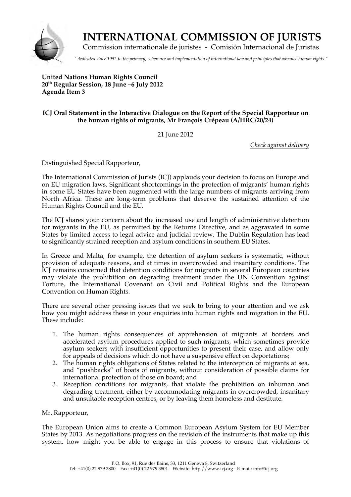

 **INTERNATIONAL COMMISSION OF JURISTS**

Commission internationale de juristes - Comisión Internacional de Juristas

*" dedicated since 1952 to the primacy, coherence and implementation of international law and principles that advance human rights "*

**United Nations Human Rights Council 20th Regular Session, 18 June –6 July 2012 Agenda Item 3**

## **ICJ Oral Statement in the Interactive Dialogue on the Report of the Special Rapporteur on the human rights of migrants, Mr François Crépeau (A/HRC/20/24)**

21 June 2012

*Check against delivery*

Distinguished Special Rapporteur,

The International Commission of Jurists (ICJ) applauds your decision to focus on Europe and on EU migration laws. Significant shortcomings in the protection of migrants' human rights in some EU States have been augmented with the large numbers of migrants arriving from North Africa. These are long-term problems that deserve the sustained attention of the Human Rights Council and the EU.

The ICJ shares your concern about the increased use and length of administrative detention for migrants in the EU, as permitted by the Returns Directive, and as aggravated in some States by limited access to legal advice and judicial review. The Dublin Regulation has lead to significantly strained reception and asylum conditions in southern EU States.

In Greece and Malta, for example, the detention of asylum seekers is systematic, without provision of adequate reasons, and at times in overcrowded and insanitary conditions. The ICJ remains concerned that detention conditions for migrants in several European countries may violate the prohibition on degrading treatment under the UN Convention against Torture, the International Covenant on Civil and Political Rights and the European Convention on Human Rights.

There are several other pressing issues that we seek to bring to your attention and we ask how you might address these in your enquiries into human rights and migration in the EU. These include:

- 1. The human rights consequences of apprehension of migrants at borders and accelerated asylum procedures applied to such migrants, which sometimes provide asylum seekers with insufficient opportunities to present their case, and allow only for appeals of decisions which do not have a suspensive effect on deportations;
- 2. The human rights obligations of States related to the interception of migrants at sea, and "pushbacks" of boats of migrants, without consideration of possible claims for international protection of those on board; and
- 3. Reception conditions for migrants, that violate the prohibition on inhuman and degrading treatment, either by accommodating migrants in overcrowded, insanitary and unsuitable reception centres, or by leaving them homeless and destitute.

## Mr. Rapporteur,

The European Union aims to create a Common European Asylum System for EU Member States by 2013. As negotiations progress on the revision of the instruments that make up this system, how might you be able to engage in this process to ensure that violations of